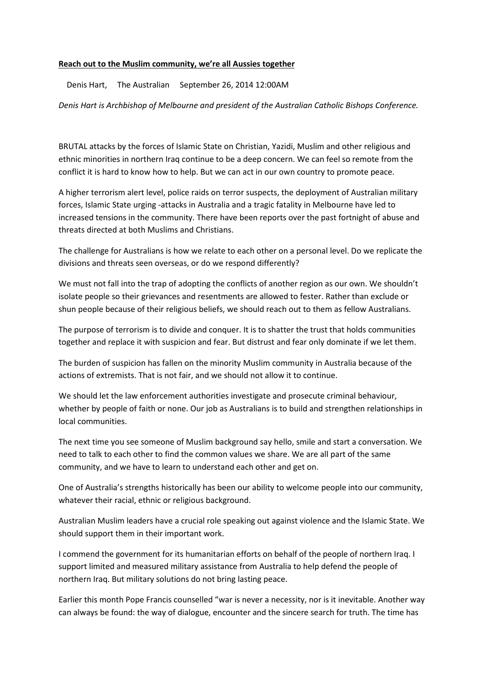## Reach out to the Muslim community, we're all Aussies together

Denis Hart, The Australian September 26, 2014 12:00AM

Denis Hart is Archbishop of Melbourne and president of the Australian Catholic Bishops Conference.

BRUTAL attacks by the forces of Islamic State on Christian, Yazidi, Muslim and other religious and ethnic minorities in northern Iraq continue to be a deep concern. We can feel so remote from the conflict it is hard to know how to help. But we can act in our own country to promote peace.

A higher terrorism alert level, police raids on terror suspects, the deployment of Australian military forces, Islamic State urging -attacks in Australia and a tragic fatality in Melbourne have led to increased tensions in the community. There have been reports over the past fortnight of abuse and threats directed at both Muslims and Christians.

The challenge for Australians is how we relate to each other on a personal level. Do we replicate the divisions and threats seen overseas, or do we respond differently?

We must not fall into the trap of adopting the conflicts of another region as our own. We shouldn't isolate people so their grievances and resentments are allowed to fester. Rather than exclude or shun people because of their religious beliefs, we should reach out to them as fellow Australians.

The purpose of terrorism is to divide and conquer. It is to shatter the trust that holds communities together and replace it with suspicion and fear. But distrust and fear only dominate if we let them.

The burden of suspicion has fallen on the minority Muslim community in Australia because of the actions of extremists. That is not fair, and we should not allow it to continue.

We should let the law enforcement authorities investigate and prosecute criminal behaviour, whether by people of faith or none. Our job as Australians is to build and strengthen relationships in local communities.

The next time you see someone of Muslim background say hello, smile and start a conversation. We need to talk to each other to find the common values we share. We are all part of the same community, and we have to learn to understand each other and get on.

One of Australia's strengths historically has been our ability to welcome people into our community, whatever their racial, ethnic or religious background.

Australian Muslim leaders have a crucial role speaking out against violence and the Islamic State. We should support them in their important work.

I commend the government for its humanitarian efforts on behalf of the people of northern Iraq. I support limited and measured military assistance from Australia to help defend the people of northern Iraq. But military solutions do not bring lasting peace.

Earlier this month Pope Francis counselled "war is never a necessity, nor is it inevitable. Another way can always be found: the way of dialogue, encounter and the sincere search for truth. The time has